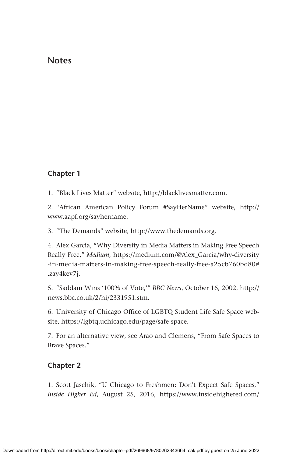### **Notes**

## **Chapter 1**

1. "Black Lives Matter" website, <http://blacklivesmatter.com>.

2. "African American Policy Forum #SayHerName" website, [http://](http://www.aapf.org/sayhername) [www.aapf.org/sayhername](http://www.aapf.org/sayhername).

3. "The Demands" website, [http://www.thedemands.org.](http://www.thedemands.org)

4. Alex Garcia, "Why Diversity in Media Matters in Making Free Speech Really Free," *Medium*, [https://medium.com/@Alex\\_Garcia/why-diversity](https://medium.com/@Alex_Garcia/why-diversity-in-media-matters-in-making-free-speech-really-free-a25cb760bd80#.zay4kev7j) [-in-media-matters-in-making-free-speech-really-free-a25cb760bd80#](https://medium.com/@Alex_Garcia/why-diversity-in-media-matters-in-making-free-speech-really-free-a25cb760bd80#.zay4kev7j) [.zay4kev7j.](https://medium.com/@Alex_Garcia/why-diversity-in-media-matters-in-making-free-speech-really-free-a25cb760bd80#.zay4kev7j)

5. "Saddam Wins '100% of Vote,'" *BBC News*, October 16, 2002, [http://](http://news.bbc.co.uk/2/hi/2331951.stm) [news.bbc.co.uk/2/hi/2331951.stm](http://news.bbc.co.uk/2/hi/2331951.stm).

6. University of Chicago Office of LGBTQ Student Life Safe Space website, [https://lgbtq.uchicago.edu/page/safe-space.](https://lgbtq.uchicago.edu/page/safe-space)

7. For an alternative view, see Arao and Clemens, "From Safe Spaces to Brave Spaces."

### **Chapter 2**

1. Scott Jaschik, "U Chicago to Freshmen: Don't Expect Safe Spaces," *Inside Higher Ed*, August 25, 2016, [https://www.insidehighered.com/](https://www.insidehighered.com/news/2016/08/25/u-chicago-warns-incoming-students-not-expect-safe-spaces-or-trigger-warnings)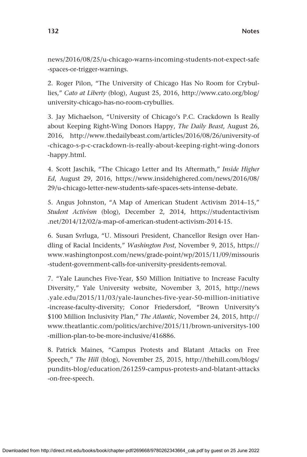[news/2016/08/25/u-chicago-warns-incoming-students-not-expect-safe](https://www.insidehighered.com/news/2016/08/25/u-chicago-warns-incoming-students-not-expect-safe-spaces-or-trigger-warnings) [-spaces-or-trigger-warnings.](https://www.insidehighered.com/news/2016/08/25/u-chicago-warns-incoming-students-not-expect-safe-spaces-or-trigger-warnings)

2. Roger Pilon, "The University of Chicago Has No Room for Crybullies," *Cato at Liberty* (blog), August 25, 2016, [http://www.cato.org/blog/](http://www.cato.org/blog/university-chicago-has-no-room-crybullies) [university-chicago-has-no-room-crybullies.](http://www.cato.org/blog/university-chicago-has-no-room-crybullies)

3. Jay Michaelson, "University of Chicago's P.C. Crackdown Is Really about Keeping Right-Wing Donors Happy, *The Daily Beast*, August 26, 2016, [http://www.thedailybeast.com/articles/2016/08/26/university-of](http://www.thedailybeast.com/articles/2016/08/26/university-of-chicago-s-p-c-crackdown-is-really-about-keeping-right-wing-donors-happy.html) [-chicago-s-p-c-crackdown-is-really-about-keeping-right-wing-donors](http://www.thedailybeast.com/articles/2016/08/26/university-of-chicago-s-p-c-crackdown-is-really-about-keeping-right-wing-donors-happy.html) [-happy.html.](http://www.thedailybeast.com/articles/2016/08/26/university-of-chicago-s-p-c-crackdown-is-really-about-keeping-right-wing-donors-happy.html)

4. Scott Jaschik, "The Chicago Letter and Its Aftermath," *Inside Higher Ed*, August 29, 2016, [https://www.insidehighered.com/news/2016/08/](https://www.insidehighered.com/news/2016/08/29/u-chicago-letter-new-students-safe-spaces-sets-intense-debate) [29/u-chicago-letter-new-students-safe-spaces-sets-intense-debate.](https://www.insidehighered.com/news/2016/08/29/u-chicago-letter-new-students-safe-spaces-sets-intense-debate)

5. Angus Johnston, "A Map of American Student Activism 2014–15," *Student Activism* (blog), December 2, 2014, [https://studentactivism](https://studentactivism.net/2014/12/02/a-map-of-american-student-activism-2014-15) [.net/2014/12/02/a-map-of-american-student-activism-2014-15.](https://studentactivism.net/2014/12/02/a-map-of-american-student-activism-2014-15)

6. Susan Svrluga, "U. Missouri President, Chancellor Resign over Handling of Racial Incidents," *Washington Post*, November 9, 2015, [https://](https://www.washingtonpost.com/news/grade-point/wp/2015/11/09/missouris-student-government-calls-for-university-presidents-removal) [www.washingtonpost.com/news/grade-point/wp/2015/11/09/missouris](https://www.washingtonpost.com/news/grade-point/wp/2015/11/09/missouris-student-government-calls-for-university-presidents-removal) [-student-government-calls-for-university-presidents-removal.](https://www.washingtonpost.com/news/grade-point/wp/2015/11/09/missouris-student-government-calls-for-university-presidents-removal)

7. "Yale Launches Five-Year, \$50 Million Initiative to Increase Faculty Diversity," Yale University website, November 3, 2015, [http://news](http://news.yale.edu/2015/11/03/yale-launches-five-year-50-million-initiative-increase-faculty-diversity) [.yale.edu/2015/11/03/yale-launches-five-year-50-million-initiative](http://news.yale.edu/2015/11/03/yale-launches-five-year-50-million-initiative-increase-faculty-diversity) [-increase-faculty-diversity;](http://news.yale.edu/2015/11/03/yale-launches-five-year-50-million-initiative-increase-faculty-diversity) Conor Friedersdorf, "Brown University's \$100 Million Inclusivity Plan," *The Atlantic*, November 24, 2015, [http://](http://www.theatlantic.com/politics/archive/2015/11/brown-universitys-100-million-plan-to-be-more-inclusive/416886) [www.theatlantic.com/politics/archive/2015/11/brown-universitys-100](http://www.theatlantic.com/politics/archive/2015/11/brown-universitys-100-million-plan-to-be-more-inclusive/416886) [-million-plan-to-be-more-inclusive/416886.](http://www.theatlantic.com/politics/archive/2015/11/brown-universitys-100-million-plan-to-be-more-inclusive/416886)

8. Patrick Maines, "Campus Protests and Blatant Attacks on Free Speech," *The Hill* (blog), November 25, 2015, [http://thehill.com/blogs/](http://thehill.com/blogs/pundits-blog/education/261259-campus-protests-and-blatant-attacks-on-free-speech) [pundits-blog/education/261259-campus-protests-and-blatant-attacks](http://thehill.com/blogs/pundits-blog/education/261259-campus-protests-and-blatant-attacks-on-free-speech) [-on-free-speech.](http://thehill.com/blogs/pundits-blog/education/261259-campus-protests-and-blatant-attacks-on-free-speech)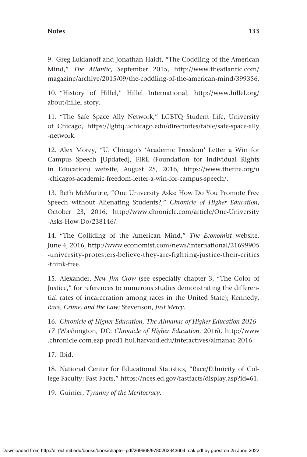#### **Notes 133**

9. Greg Lukianoff and Jonathan Haidt, "The Coddling of the American Mind," *The Atlantic*, September 2015, [http://www.theatlantic.com/](http://www.theatlantic.com/magazine/archive/2015/09/the-coddling-of-the-american-mind/399356) [magazine/archive/2015/09/the-coddling-of-the-american-mind/399356.](http://www.theatlantic.com/magazine/archive/2015/09/the-coddling-of-the-american-mind/399356)

10. "History of Hillel," Hillel International, [http://www.hillel.org/](http://www.hillel.org/about/hillel-story) [about/hillel-story](http://www.hillel.org/about/hillel-story).

11. "The Safe Space Ally Network," LGBTQ Student Life, University of Chicago, [https://lgbtq.uchicago.edu/directories/table/safe-space-ally](https://lgbtq.uchicago.edu/directories/table/safe-space-ally-network) [-network](https://lgbtq.uchicago.edu/directories/table/safe-space-ally-network).

12. Alex Morey, "U. Chicago's 'Academic Freedom' Letter a Win for Campus Speech [Updated], FIRE (Foundation for Individual Rights in Education) website, August 25, 2016, [https://www.thefire.org/u](https://www.thefire.org/u-chicagos-academic-freedom-letter-a-win-for-campus-speech/) [-chicagos-academic-freedom-letter-a-win-for-campus-speech/.](https://www.thefire.org/u-chicagos-academic-freedom-letter-a-win-for-campus-speech/)

13. Beth McMurtrie, "One University Asks: How Do You Promote Free Speech without Alienating Students?," *Chronicle of Higher Education*, October 23, 2016, [http://www.chronicle.com/article/One-University](http://www.chronicle.com/article/One-University-Asks-How-Do/238146/) [-Asks-How-Do/238146/](http://www.chronicle.com/article/One-University-Asks-How-Do/238146/).

14. "The Colliding of the American Mind," *The Economist* website, June 4, 2016, [http://www.economist.com/news/international/21699905](http://www.economist.com/news/international/21699905-university-protesters-believe-they-are-fighting-justice-their-critics-think-free) [-university-protesters-believe-they-are-fighting-justice-their-critics](http://www.economist.com/news/international/21699905-university-protesters-believe-they-are-fighting-justice-their-critics-think-free) [-think-free](http://www.economist.com/news/international/21699905-university-protesters-believe-they-are-fighting-justice-their-critics-think-free).

15. Alexander, *New Jim Crow* (see especially chapter 3, "The Color of Justice," for references to numerous studies demonstrating the differential rates of incarceration among races in the United State); Kennedy, *Race, Crime, and the Law*; Stevenson, *Just Mercy*.

16. *Chronicle of Higher Education*, *The Almanac of Higher Education 2016– 17* (Washington, DC: *Chronicle of Higher Education*, 2016), [http://www](http://www.chronicle.com.ezp-prod1.hul.harvard.edu/interactives/almanac-2016) [.chronicle.com.ezp-prod1.hul.harvard.edu/interactives/almanac-2016.](http://www.chronicle.com.ezp-prod1.hul.harvard.edu/interactives/almanac-2016)

17. Ibid.

18. National Center for Educational Statistics, "Race/Ethnicity of College Faculty: Fast Facts," [https://nces.ed.gov/fastfacts/display.asp?id=61.](https://nces.ed.gov/fastfacts/display.asp?id=61)

19. Guinier, *Tyranny of the Meritocracy*.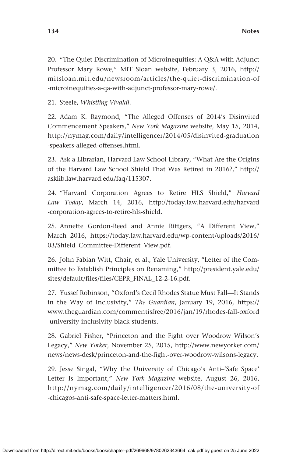20. "The Quiet Discrimination of Microinequities: A Q&A with Adjunct Professor Mary Rowe," MIT Sloan website, February 3, 2016, [http://](http://mitsloan.mit.edu/newsroom/articles/the-quiet-discrimination-of-microinequities-a-qa-with-adjunct-professor-mary-rowe/) [mitsloan.mit.edu/newsroom/articles/the-quiet-discrimination-of](http://mitsloan.mit.edu/newsroom/articles/the-quiet-discrimination-of-microinequities-a-qa-with-adjunct-professor-mary-rowe/) [-microinequities-a-qa-with-adjunct-professor-mary-rowe/](http://mitsloan.mit.edu/newsroom/articles/the-quiet-discrimination-of-microinequities-a-qa-with-adjunct-professor-mary-rowe/).

21. Steele, *Whistling Vivaldi.*

22. Adam K. Raymond, "The Alleged Offenses of 2014's Disinvited Commencement Speakers," *New York Magazine* website, May 15, 2014, [http://nymag.com/daily/intelligencer/2014/05/disinvited-graduation](http://nymag.com/daily/intelligencer/2014/05/disinvited-graduation-speakers-alleged-offenses.html) [-speakers-alleged-offenses.html.](http://nymag.com/daily/intelligencer/2014/05/disinvited-graduation-speakers-alleged-offenses.html)

23. Ask a Librarian, Harvard Law School Library, "What Are the Origins of the Harvard Law School Shield That Was Retired in 2016?," [http://](http://asklib.law.harvard.edu/faq/115307) [asklib.law.harvard.edu/faq/115307.](http://asklib.law.harvard.edu/faq/115307)

24. "Harvard Corporation Agrees to Retire HLS Shield," *Harvard Law Today*, March 14, 2016, [http://today.law.harvard.edu/harvard](http://today.law.harvard.edu/harvard-corporation-agrees-to-retire-hls-shield) [-corporation-agrees-to-retire-hls-shield](http://today.law.harvard.edu/harvard-corporation-agrees-to-retire-hls-shield).

25. Annette Gordon-Reed and Annie Rittgers, "A Different View," March 2016, [https://today.law.harvard.edu/wp-content/uploads/2016/](https://today.law.harvard.edu/wp-content/uploads/2016/03/Shield_Committee-Different_View.pdf) [03/Shield\\_Committee-Different\\_View.pdf](https://today.law.harvard.edu/wp-content/uploads/2016/03/Shield_Committee-Different_View.pdf).

26. John Fabian Witt, Chair, et al., Yale University, "Letter of the Committee to Establish Principles on Renaming," [http://president.yale.edu/](http://president.yale.edu/sites/default/files/files/CEPR_FINAL_12-2-16.pdf) [sites/default/files/files/CEPR\\_FINAL\\_12-2-16.pdf](http://president.yale.edu/sites/default/files/files/CEPR_FINAL_12-2-16.pdf).

27. Yussef Robinson, "Oxford's Cecil Rhodes Statue Must Fall—It Stands in the Way of Inclusivity," *The Guardian*, January 19, 2016, [https://](https://www.theguardian.com/commentisfree/2016/jan/19/rhodes-fall-oxford-university-inclusivity-black-students) [www.theguardian.com/commentisfree/2016/jan/19/rhodes-fall-oxford](https://www.theguardian.com/commentisfree/2016/jan/19/rhodes-fall-oxford-university-inclusivity-black-students) [-university-inclusivity-black-students](https://www.theguardian.com/commentisfree/2016/jan/19/rhodes-fall-oxford-university-inclusivity-black-students).

28. Gabriel Fisher, "Princeton and the Fight over Woodrow Wilson's Legacy," *New Yorker*, November 25, 2015, [http://www.newyorker.com/](http://www.newyorker.com/news/news-desk/princeton-and-the-fight-over-woodrow-wilsons-legacy) [news/news-desk/princeton-and-the-fight-over-woodrow-wilsons-legacy](http://www.newyorker.com/news/news-desk/princeton-and-the-fight-over-woodrow-wilsons-legacy).

29. Jesse Singal, "Why the University of Chicago's Anti–'Safe Space' Letter Is Important," *New York Magazine* website, August 26, 2016, [http://nymag.com/daily/intelligencer/2016/08/the-university-of](http://nymag.com/daily/intelligencer/2016/08/the-university-of-chicagos-anti-safe-space-letter-matters.html) [-chicagos-anti-safe-space-letter-matters.html.](http://nymag.com/daily/intelligencer/2016/08/the-university-of-chicagos-anti-safe-space-letter-matters.html)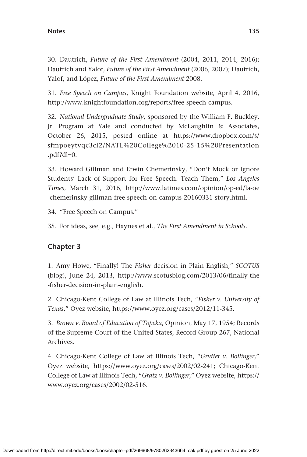30. Dautrich, *Future of the First Amendment* (2004, 2011, 2014, 2016); Dautrich and Yalof, *Future of the First Amendment* (2006, 2007); Dautrich, Yalof, and López, *Future of the First Amendment* 2008.

31. *Free Speech on Campus*, Knight Foundation website, April 4, 2016, <http://www.knightfoundation.org/reports/free-speech-campus>.

32. *National Undergraduate Study*, sponsored by the William F. Buckley, Jr. Program at Yale and conducted by McLaughlin & Associates, October 26, 2015, posted online at [https://www.dropbox.com/s/](https://www.dropbox.com/s/sfmpoeytvqc3cl2/NATL%20College%2010-25-15%20Presentation.pdf?dl=0) [sfmpoeytvqc3cl2/NATL%20College%2010-25-15%20Presentation](https://www.dropbox.com/s/sfmpoeytvqc3cl2/NATL%20College%2010-25-15%20Presentation.pdf?dl=0) [.pdf?dl=0.](https://www.dropbox.com/s/sfmpoeytvqc3cl2/NATL%20College%2010-25-15%20Presentation.pdf?dl=0)

33. Howard Gillman and Erwin Chemerinsky, "Don't Mock or Ignore Students' Lack of Support for Free Speech. Teach Them," *Los Angeles Times*, March 31, 2016, [http://www.latimes.com/opinion/op-ed/la-oe](http://www.latimes.com/opinion/op-ed/la-oe-chemerinsky-gillman-free-speech-on-campus-20160331-story.html) [-chemerinsky-gillman-free-speech-on-campus-20160331-story.html.](http://www.latimes.com/opinion/op-ed/la-oe-chemerinsky-gillman-free-speech-on-campus-20160331-story.html)

34. "Free Speech on Campus."

35. For ideas, see, e.g., Haynes et al., *The First Amendment in Schools*.

# **Chapter 3**

1. Amy Howe, "Finally! The *Fisher* decision in Plain English," *SCOTUS* (blog), June 24, 2013, [http://www.scotusblog.com/2013/06/finally-the](http://www.scotusblog.com/2013/06/finally-the-fisher-decision-in-plain-english) [-fisher-decision-in-plain-english](http://www.scotusblog.com/2013/06/finally-the-fisher-decision-in-plain-english).

2. Chicago-Kent College of Law at Illinois Tech, "*Fisher v. University of Texas*," Oyez website, <https://www.oyez.org/cases/2012/11-345>.

3. *Brown v. Board of Education of Topeka*, Opinion, May 17, 1954; Records of the Supreme Court of the United States, Record Group 267, National Archives.

4. Chicago-Kent College of Law at Illinois Tech, "*Grutter v. Bollinger*," Oyez website, <https://www.oyez.org/cases/2002/02-241>; Chicago-Kent College of Law at Illinois Tech, "*Gratz v. Bollinger*," Oyez website, [https://](https://www.oyez.org/cases/2002/02-516) [www.oyez.org/cases/2002/02-516.](https://www.oyez.org/cases/2002/02-516)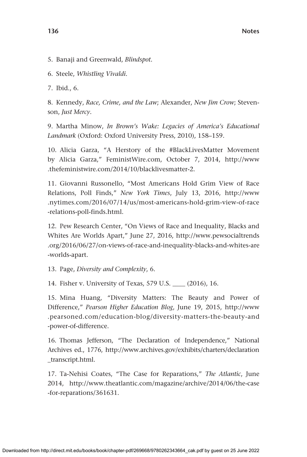5. Banaji and Greenwald, *Blindspot.*

6. Steele, *Whistling Vivaldi.*

7. Ibid., 6.

8. Kennedy, *Race, Crime, and the Law*; Alexander, *New Jim Crow*; Stevenson, *Just Mercy.*

9. Martha Minow, *In Brown's Wake: Legacies of America's Educational Landmark* (Oxford: Oxford University Press, 2010), 158–159.

10. Alicia Garza, "A Herstory of the #BlackLivesMatter Movement by Alicia Garza," [FeministWire.](http://FeministWire)com, October 7, 2014, [http://www](http://www.thefeministwire.com/2014/10/blacklivesmatter-2) [.thefeministwire.com/2014/10/blacklivesmatter-2.](http://www.thefeministwire.com/2014/10/blacklivesmatter-2)

11. Giovanni Russonello, "Most Americans Hold Grim View of Race Relations, Poll Finds," *New York Times*, July 13, 2016, [http://www](http://www.nytimes.com/2016/07/14/us/most-americans-hold-grim-view-of-race-relations-poll-finds.html) [.nytimes.com/2016/07/14/us/most-americans-hold-grim-view-of-race](http://www.nytimes.com/2016/07/14/us/most-americans-hold-grim-view-of-race-relations-poll-finds.html) [-relations-poll-finds.html.](http://www.nytimes.com/2016/07/14/us/most-americans-hold-grim-view-of-race-relations-poll-finds.html)

12. Pew Research Center, "On Views of Race and Inequality, Blacks and Whites Are Worlds Apart," June 27, 2016, [http://www.pewsocialtrends](http://www.pewsocialtrends.org/2016/06/27/on-views-of-race-and-inequality-blacks-and-whites-are-worlds-apart) [.org/2016/06/27/on-views-of-race-and-inequality-blacks-and-whites-are](http://www.pewsocialtrends.org/2016/06/27/on-views-of-race-and-inequality-blacks-and-whites-are-worlds-apart) [-worlds-apart.](http://www.pewsocialtrends.org/2016/06/27/on-views-of-race-and-inequality-blacks-and-whites-are-worlds-apart)

13. Page, *Diversity and Complexity*, 6.

14. Fisher v. University of Texas, 579 U.S. \_\_\_\_ (2016), 16.

15. Mina Huang, "Diversity Matters: The Beauty and Power of Difference," *Pearson Higher Education Blog*, June 19, 2015, [http://www](http://www.pearsoned.com/education-blog/diversity-matters-the-beauty-and-power-of-difference) [.pearsoned.com/education-blog/diversity-matters-the-beauty-and](http://www.pearsoned.com/education-blog/diversity-matters-the-beauty-and-power-of-difference) [-power-of-difference](http://www.pearsoned.com/education-blog/diversity-matters-the-beauty-and-power-of-difference).

16. Thomas Jefferson, "The Declaration of Independence," National Archives ed., 1776, [http://www.archives.gov/exhibits/charters/declaration](http://www.archives.gov/exhibits/charters/declaration_transcript.html) [\\_transcript.html.](http://www.archives.gov/exhibits/charters/declaration_transcript.html)

17. Ta-Nehisi Coates, "The Case for Reparations," *The Atlantic*, June 2014, [http://www.theatlantic.com/magazine/archive/2014/06/the-case](http://www.theatlantic.com/magazine/archive/2014/06/the-case-for-reparations/361631) [-for-reparations/361631](http://www.theatlantic.com/magazine/archive/2014/06/the-case-for-reparations/361631).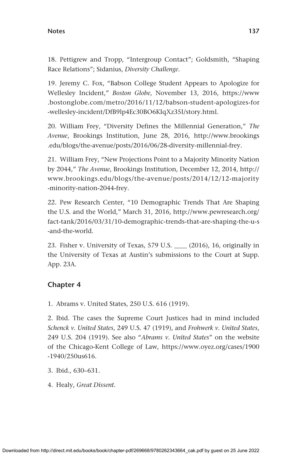#### **Notes 137**

18. Pettigrew and Tropp, "Intergroup Contact"; Goldsmith, "Shaping Race Relations"; Sidanius, *Diversity Challenge*.

19. Jeremy C. Fox, "Babson College Student Appears to Apologize for Wellesley Incident," *Boston Globe*, November 13, 2016, [https://www](https://www.bostonglobe.com/metro/2016/11/12/babson-student-apologizes-for-wellesley-incident/DfB9lp4Ec30BO6KIqXz35I/story.html) [.bostonglobe.com/metro/2016/11/12/babson-student-apologizes-for](https://www.bostonglobe.com/metro/2016/11/12/babson-student-apologizes-for-wellesley-incident/DfB9lp4Ec30BO6KIqXz35I/story.html) [-wellesley-incident/DfB9lp4Ec30BO6KIqXz35I/story.html](https://www.bostonglobe.com/metro/2016/11/12/babson-student-apologizes-for-wellesley-incident/DfB9lp4Ec30BO6KIqXz35I/story.html).

20. William Frey, "Diversity Defines the Millennial Generation," *The Avenue*, Brookings Institution, June 28, 2016, [http://www.brookings](http://www.brookings.edu/blogs/the-avenue/posts/2016/06/28-diversity-millennial-frey) [.edu/blogs/the-avenue/posts/2016/06/28-diversity-millennial-frey](http://www.brookings.edu/blogs/the-avenue/posts/2016/06/28-diversity-millennial-frey).

21. William Frey, "New Projections Point to a Majority Minority Nation by 2044," *The Avenue*, Brookings Institution, December 12, 2014, [http://](http://www.brookings.edu/blogs/the-avenue/posts/2014/12/12-majority-minority-nation-2044-frey) [www.brookings.edu/blogs/the-avenue/posts/2014/12/12-majority](http://www.brookings.edu/blogs/the-avenue/posts/2014/12/12-majority-minority-nation-2044-frey) [-minority-nation-2044-frey.](http://www.brookings.edu/blogs/the-avenue/posts/2014/12/12-majority-minority-nation-2044-frey)

22. Pew Research Center, "10 Demographic Trends That Are Shaping the U.S. and the World," March 31, 2016, [http://www.pewresearch.org/](http://www.pewresearch.org/fact-tank/2016/03/31/10-demographic-trends-that-are-shaping-the-u-s-and-the-world) [fact-tank/2016/03/31/10-demographic-trends-that-are-shaping-the-u-s](http://www.pewresearch.org/fact-tank/2016/03/31/10-demographic-trends-that-are-shaping-the-u-s-and-the-world) [-and-the-world.](http://www.pewresearch.org/fact-tank/2016/03/31/10-demographic-trends-that-are-shaping-the-u-s-and-the-world)

23. Fisher v. University of Texas, 579 U.S. \_\_\_\_ (2016), 16, originally in the University of Texas at Austin's submissions to the Court at Supp. App. 23A.

### **Chapter 4**

1. Abrams v. United States, 250 U.S. 616 (1919).

2. Ibid. The cases the Supreme Court Justices had in mind included *Schenck v. United States*, 249 U.S. 47 (1919), and *Frohwerk v. United States*, 249 U.S. 204 (1919). See also "*Abrams v. United States*" on the website of the Chicago-Kent College of Law, [https://www.oyez.org/cases/1900](https://www.oyez.org/cases/1900-1940/250us616) [-1940/250us616.](https://www.oyez.org/cases/1900-1940/250us616)

3. Ibid., 630–631.

4. Healy, *Great Dissent.*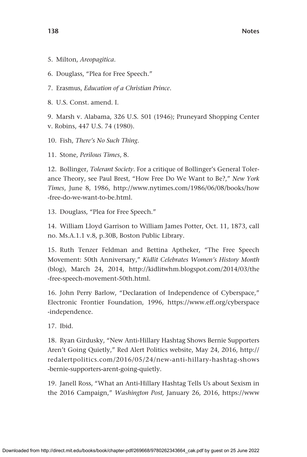- 5. Milton, *Areopagitica*.
- 6. Douglass, "Plea for Free Speech."
- 7. Erasmus, *Education of a Christian Prince*.
- 8. U.S. Const. amend. I.

9. Marsh v. Alabama, 326 U.S. 501 (1946); Pruneyard Shopping Center v. Robins, 447 U.S. 74 (1980).

- 10. Fish, *There's No Such Thing.*
- 11. Stone, *Perilous Times*, 8.

12. Bollinger, *Tolerant Society.* For a critique of Bollinger's General Tolerance Theory, see Paul Brest, "How Free Do We Want to Be?," *New York Times*, June 8, 1986, [http://www.nytimes.com/1986/06/08/books/how](http://www.nytimes.com/1986/06/08/books/how-free-do-we-want-to-be.html) [-free-do-we-want-to-be.html.](http://www.nytimes.com/1986/06/08/books/how-free-do-we-want-to-be.html)

13. Douglass, "Plea for Free Speech."

14. William Lloyd Garrison to William James Potter, Oct. 11, 1873, call no. Ms.A.1.1 v.8, p.30B, Boston Public Library.

15. Ruth Tenzer Feldman and Bettina Aptheker, "The Free Speech Movement: 50th Anniversary," *Kidlit Celebrates Women's History Month*  (blog), March 24, 2014, [http://kidlitwhm.blogspot.com/2014/03/the](http://kidlitwhm.blogspot.com/2014/03/the-free-speech-movement-50th.html) [-free-speech-movement-50th.html.](http://kidlitwhm.blogspot.com/2014/03/the-free-speech-movement-50th.html)

16. John Perry Barlow, "Declaration of Independence of Cyberspace," Electronic Frontier Foundation, 1996, [https://www.eff.org/cyberspace](https://www.eff.org/cyberspace-independence) [-independence.](https://www.eff.org/cyberspace-independence)

17. Ibid.

18. Ryan Girdusky, "New Anti-Hillary Hashtag Shows Bernie Supporters Aren't Going Quietly," Red Alert Politics website, May 24, 2016, [http://](http://redalertpolitics.com/2016/05/24/new-anti-hillary-hashtag-shows-bernie-supporters-arent-going-quietly) [redalertpolitics.com/2016/05/24/new-anti-hillary-hashtag-shows](http://redalertpolitics.com/2016/05/24/new-anti-hillary-hashtag-shows-bernie-supporters-arent-going-quietly) [-bernie-supporters-arent-going-quietly.](http://redalertpolitics.com/2016/05/24/new-anti-hillary-hashtag-shows-bernie-supporters-arent-going-quietly)

19. Janell Ross, "What an Anti-Hillary Hashtag Tells Us about Sexism in the 2016 Campaign," *Washington Post,* January 26, 2016, [https://www](https://www.washingtonpost.com/news/the-fix/wp/2016/01/26/wordthatmightdescribetheamericanvoter)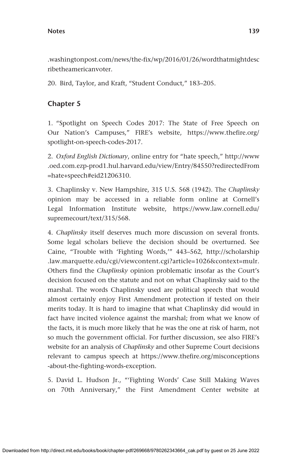[.washingtonpost.com/news/the-fix/wp/2016/01/26/wordthatmightdesc](https://www.washingtonpost.com/news/the-fix/wp/2016/01/26/wordthatmightdescribetheamericanvoter) [ribetheamericanvoter.](https://www.washingtonpost.com/news/the-fix/wp/2016/01/26/wordthatmightdescribetheamericanvoter)

20. Bird, Taylor, and Kraft, "Student Conduct," 183–205.

### **Chapter 5**

1. "Spotlight on Speech Codes 2017: The State of Free Speech on Our Nation's Campuses," FIRE's website, [https://www.thefire.org/](https://www.thefire.org/spotlight-on-speech-codes-2017) [spotlight-on-speech-codes-2017.](https://www.thefire.org/spotlight-on-speech-codes-2017)

2. *Oxford English Dictionary*, online entry for "hate speech," [http://www](http://www.oed.com.ezp-prod1.hul.harvard.edu/view/Entry/84550?redirectedFrom=hate+speech#eid21206310) [.oed.com.ezp-prod1.hul.harvard.edu/view/Entry/84550?redirectedFrom](http://www.oed.com.ezp-prod1.hul.harvard.edu/view/Entry/84550?redirectedFrom=hate+speech#eid21206310) [=hate+speech#eid21206310.](http://www.oed.com.ezp-prod1.hul.harvard.edu/view/Entry/84550?redirectedFrom=hate+speech#eid21206310)

3. Chaplinsky v. New Hampshire, 315 U.S. 568 (1942). The *Chaplinsky* opinion may be accessed in a reliable form online at Cornell's Legal Information Institute website, [https://www.law.cornell.edu/](https://www.law.cornell.edu/supremecourt/text/315/568) [supremecourt/text/315/568](https://www.law.cornell.edu/supremecourt/text/315/568).

4. *Chaplinsky* itself deserves much more discussion on several fronts. Some legal scholars believe the decision should be overturned. See Caine, "Trouble with 'Fighting Words,'" 443–562, [http://scholarship](http://scholarship.law.marquette.edu/cgi/viewcontent.cgi?article=1026&context=mulr) [.law.marquette.edu/cgi/viewcontent.cgi?article=1026&context=mulr.](http://scholarship.law.marquette.edu/cgi/viewcontent.cgi?article=1026&context=mulr) Others find the *Chaplinsky* opinion problematic insofar as the Court's decision focused on the statute and not on what Chaplinsky said to the marshal. The words Chaplinsky used are political speech that would almost certainly enjoy First Amendment protection if tested on their merits today. It is hard to imagine that what Chaplinsky did would in fact have incited violence against the marshal; from what we know of the facts, it is much more likely that he was the one at risk of harm, not so much the government official. For further discussion, see also FIRE's website for an analysis of *Chaplinsky* and other Supreme Court decisions relevant to campus speech at [https://www.thefire.org/misconceptions](https://www.thefire.org/misconceptions-about-the-fighting-words-exception) [-about-the-fighting-words-exception](https://www.thefire.org/misconceptions-about-the-fighting-words-exception).

5. David L. Hudson Jr., "'Fighting Words' Case Still Making Waves on 70th Anniversary," the First Amendment Center website at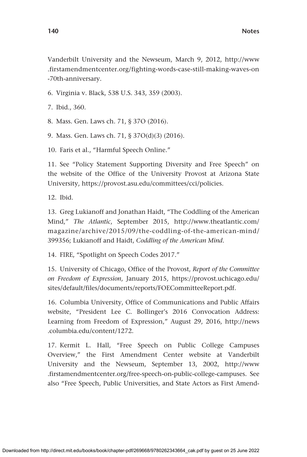Vanderbilt University and the Newseum, March 9, 2012, [http://www](http://www.firstamendmentcenter.org/fighting-words-case-still-making-waves-on-70th-anniversary) [.firstamendmentcenter.org/fighting-words-case-still-making-waves-on](http://www.firstamendmentcenter.org/fighting-words-case-still-making-waves-on-70th-anniversary) [-70th-anniversary.](http://www.firstamendmentcenter.org/fighting-words-case-still-making-waves-on-70th-anniversary)

6. Virginia v. Black, 538 U.S. 343, 359 (2003).

7. Ibid., 360.

8. Mass. Gen. Laws ch. 71, § 37O (2016).

9. Mass. Gen. Laws ch. 71, § 37O(d)(3) (2016).

10. Faris et al., "Harmful Speech Online."

11. See "Policy Statement Supporting Diversity and Free Speech" on the website of the Office of the University Provost at Arizona State University, [https://provost.asu.edu/committees/cci/policies.](https://provost.asu.edu/committees/cci/policies)

12. Ibid.

13. Greg Lukianoff and Jonathan Haidt, "The Coddling of the American Mind," *The Atlantic*, September 2015, [http://www.theatlantic.com/](http://www.theatlantic.com/magazine/archive/2015/09/the-coddling-of-the-american-mind/399356) [magazine/archive/2015/09/the-coddling-of-the-american-mind/](http://www.theatlantic.com/magazine/archive/2015/09/the-coddling-of-the-american-mind/399356) [399356](http://www.theatlantic.com/magazine/archive/2015/09/the-coddling-of-the-american-mind/399356); Lukianoff and Haidt, *Coddling of the American Mind*.

14. FIRE, "Spotlight on Speech Codes 2017."

15. University of Chicago, Office of the Provost, *Report of the Committee on Freedom of Expression*, January 2015, [https://provost.uchicago.edu/](https://provost.uchicago.edu/sites/default/files/documents/reports/FOECommitteeReport.pdf) [sites/default/files/documents/reports/FOECommitteeReport.pdf.](https://provost.uchicago.edu/sites/default/files/documents/reports/FOECommitteeReport.pdf)

16. Columbia University, Office of Communications and Public Affairs website, "President Lee C. Bollinger's 2016 Convocation Address: Learning from Freedom of Expression," August 29, 2016, [http://news](http://news.columbia.edu/content/1272) [.columbia.edu/content/1272](http://news.columbia.edu/content/1272).

17. Kermit L. Hall, "Free Speech on Public College Campuses Overview," the First Amendment Center website at Vanderbilt University and the Newseum, September 13, 2002, [http://www](http://www.firstamendmentcenter.org/free-speech-on-public-college-campuses) [.firstamendmentcenter.org/free-speech-on-public-college-campuses.](http://www.firstamendmentcenter.org/free-speech-on-public-college-campuses) See also "Free Speech, Public Universities, and State Actors as First Amend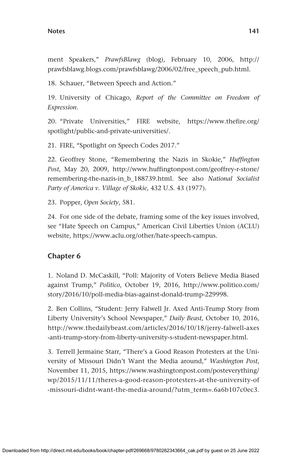ment Speakers," *PrawfsBlawg* (blog), February 10, 2006, [http://](http://prawfsblawg.blogs.com/prawfsblawg/2006/02/free_speech_pub.html) [prawfsblawg.blogs.com/prawfsblawg/2006/02/free\\_speech\\_pub.html.](http://prawfsblawg.blogs.com/prawfsblawg/2006/02/free_speech_pub.html)

18. Schauer, "Between Speech and Action."

19. University of Chicago, *Report of the Committee on Freedom of Expression*.

20. "Private Universities," FIRE website, [https://www.thefire.org/](https://www.thefire.org/spotlight/public-and-private-universities/) [spotlight/public-and-private-universities/.](https://www.thefire.org/spotlight/public-and-private-universities/)

21. FIRE, "Spotlight on Speech Codes 2017."

22. Geoffrey Stone, "Remembering the Nazis in Skokie," *Huffington Post*, May 20, 2009, [http://www.huffingtonpost.com/geoffrey-r-stone/](http://www.huffingtonpost.com/geoffrey-r-stone/remembering-the-nazis-in_b_188739.html) [remembering-the-nazis-in\\_b\\_188739.html.](http://www.huffingtonpost.com/geoffrey-r-stone/remembering-the-nazis-in_b_188739.html) See also *National Socialist Party of America v. Village of Skokie*, 432 U.S. 43 (1977).

23. Popper, *Open Society*, 581.

24. For one side of the debate, framing some of the key issues involved, see "Hate Speech on Campus," American Civil Liberties Union (ACLU) website, [https://www.aclu.org/other/hate-speech-campus.](https://www.aclu.org/other/hate-speech-campus)

### **Chapter 6**

1. Noland D. McCaskill, "Poll: Majority of Voters Believe Media Biased against Trump," *Politico*, October 19, 2016, [http://www.politico.com/](http://www.politico.com/story/2016/10/poll-media-bias-against-donald-trump-229998) [story/2016/10/poll-media-bias-against-donald-trump-229998.](http://www.politico.com/story/2016/10/poll-media-bias-against-donald-trump-229998)

2. Ben Collins, "Student: Jerry Falwell Jr. Axed Anti-Trump Story from Liberty University's School Newspaper," *Daily Beast*, October 10, 2016, [http://www.thedailybeast.com/articles/2016/10/18/jerry-falwell-axes](http://www.thedailybeast.com/articles/2016/10/18/jerry-falwell-axes-anti-trump-story-from-liberty-university-s-student-newspaper.html) [-anti-trump-story-from-liberty-university-s-student-newspaper.html.](http://www.thedailybeast.com/articles/2016/10/18/jerry-falwell-axes-anti-trump-story-from-liberty-university-s-student-newspaper.html)

3. Terrell Jermaine Starr, "There's a Good Reason Protesters at the University of Missouri Didn't Want the Media around," *Washington Post*, November 11, 2015, [https://www.washingtonpost.com/posteverything/](https://www.washingtonpost.com/posteverything/wp/2015/11/11/theres-a-good-reason-protesters-at-the-university-of-missouri-didnt-want-the-media-around/?utm_term=.6a6b107c0ec3) [wp/2015/11/11/theres-a-good-reason-protesters-at-the-university-of](https://www.washingtonpost.com/posteverything/wp/2015/11/11/theres-a-good-reason-protesters-at-the-university-of-missouri-didnt-want-the-media-around/?utm_term=.6a6b107c0ec3) [-missouri-didnt-want-the-media-around/?utm\\_term=.6a6b107c0ec3.](https://www.washingtonpost.com/posteverything/wp/2015/11/11/theres-a-good-reason-protesters-at-the-university-of-missouri-didnt-want-the-media-around/?utm_term=.6a6b107c0ec3)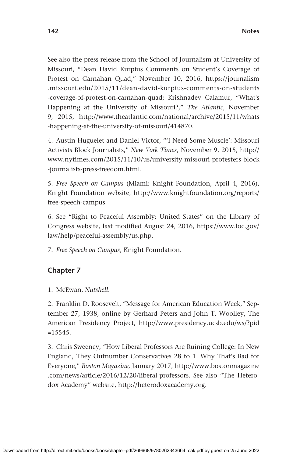See also the press release from the School of Journalism at University of Missouri, "Dean David Kurpius Comments on Student's Coverage of Protest on Carnahan Quad," November 10, 2016, [https://journalism](https://journalism.missouri.edu/2015/11/dean-david-kurpius-comments-on-students-coverage-of-protest-on-carnahan-quad) [.missouri.edu/2015/11/dean-david-kurpius-comments-on-students](https://journalism.missouri.edu/2015/11/dean-david-kurpius-comments-on-students-coverage-of-protest-on-carnahan-quad) [-coverage-of-protest-on-carnahan-quad;](https://journalism.missouri.edu/2015/11/dean-david-kurpius-comments-on-students-coverage-of-protest-on-carnahan-quad) Krishnadev Calamur, "What's Happening at the University of Missouri?," *The Atlantic*, November 9, 2015, [http://www.theatlantic.com/national/archive/2015/11/whats](http://www.theatlantic.com/national/archive/2015/11/whats-happening-at-the-university-of-missouri/414870) [-happening-at-the-university-of-missouri/414870.](http://www.theatlantic.com/national/archive/2015/11/whats-happening-at-the-university-of-missouri/414870)

4. Austin Huguelet and Daniel Victor, "'I Need Some Muscle': Missouri Activists Block Journalists," *New York Times*, November 9, 2015, [http://](http://www.nytimes.com/2015/11/10/us/university-missouri-protesters-block-journalists-press-freedom.html) [www.nytimes.com/2015/11/10/us/university-missouri-protesters-block](http://www.nytimes.com/2015/11/10/us/university-missouri-protesters-block-journalists-press-freedom.html) [-journalists-press-freedom.html](http://www.nytimes.com/2015/11/10/us/university-missouri-protesters-block-journalists-press-freedom.html).

5. *Free Speech on Campus* (Miami: Knight Foundation, April 4, 2016), Knight Foundation website, [http://www.knightfoundation.org/reports/](http://www.knightfoundation.org/reports/free-speech-campus) [free-speech-campus.](http://www.knightfoundation.org/reports/free-speech-campus)

6. See "Right to Peaceful Assembly: United States" on the Library of Congress website, last modified August 24, 2016, [https://www.loc.gov/](https://www.loc.gov/law/help/peaceful-assembly/us.php) [law/help/peaceful-assembly/us.php.](https://www.loc.gov/law/help/peaceful-assembly/us.php)

7. *Free Speech on Campus*, Knight Foundation.

### **Chapter 7**

1. McEwan, *Nutshell*.

2. Franklin D. Roosevelt, "Message for American Education Week," September 27, 1938, online by Gerhard Peters and John T. Woolley, The American Presidency Project, [http://www.presidency.ucsb.edu/ws/?pid](http://www.presidency.ucsb.edu/ws/?pid=15545)  $=15545.$  $=15545.$ 

3. Chris Sweeney, "How Liberal Professors Are Ruining College: In New England, They Outnumber Conservatives 28 to 1. Why That's Bad for Everyone," *Boston Magazine,* January 2017, [http://www.bostonmagazine](http://www.bostonmagazine.com/news/article/2016/12/20/liberal-professors) [.com/news/article/2016/12/20/liberal-professors.](http://www.bostonmagazine.com/news/article/2016/12/20/liberal-professors) See also "The Heterodox Academy" website, <http://heterodoxacademy.org>.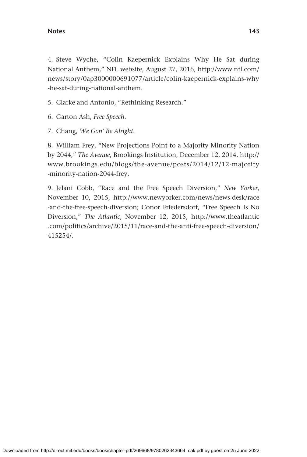4. Steve Wyche, "Colin Kaepernick Explains Why He Sat during National Anthem," NFL website, August 27, 2016, [http://www.nfl.com/](http://www.nfl.com/news/story/0ap3000000691077/article/colin-kaepernick-explains-why-he-sat-during-national-anthem) [news/story/0ap3000000691077/article/colin-kaepernick-explains-why](http://www.nfl.com/news/story/0ap3000000691077/article/colin-kaepernick-explains-why-he-sat-during-national-anthem) [-he-sat-during-national-anthem.](http://www.nfl.com/news/story/0ap3000000691077/article/colin-kaepernick-explains-why-he-sat-during-national-anthem)

5. Clarke and Antonio, "Rethinking Research."

- 6. Garton Ash, *Free Speech.*
- 7. Chang, *We Gon' Be Alright.*

8. William Frey, "New Projections Point to a Majority Minority Nation by 2044," *The Avenue*, Brookings Institution, December 12, 2014, [http://](http://www.brookings.edu/blogs/the-avenue/posts/2014/12/12-majority-minority-nation-2044-frey) [www.brookings.edu/blogs/the-avenue/posts/2014/12/12-majority](http://www.brookings.edu/blogs/the-avenue/posts/2014/12/12-majority-minority-nation-2044-frey) [-minority-nation-2044-frey.](http://www.brookings.edu/blogs/the-avenue/posts/2014/12/12-majority-minority-nation-2044-frey)

9. Jelani Cobb, "Race and the Free Speech Diversion," *New Yorker*, November 10, 2015, [http://www.newyorker.com/news/news-desk/race](http://www.newyorker.com/news/news-desk/race-and-the-free-speech-diversion) [-and-the-free-speech-diversion;](http://www.newyorker.com/news/news-desk/race-and-the-free-speech-diversion) Conor Friedersdorf, "Free Speech Is No Diversion," *The Atlantic*, November 12, 2015, [http://www.theatlantic](http://www.theatlantic.com/politics/archive/2015/11/race-and-the-anti-free-speech-diversion/415254/) [.com/politics/archive/2015/11/race-and-the-anti-free-speech-diversion/](http://www.theatlantic.com/politics/archive/2015/11/race-and-the-anti-free-speech-diversion/415254/) [415254/.](http://www.theatlantic.com/politics/archive/2015/11/race-and-the-anti-free-speech-diversion/415254/)